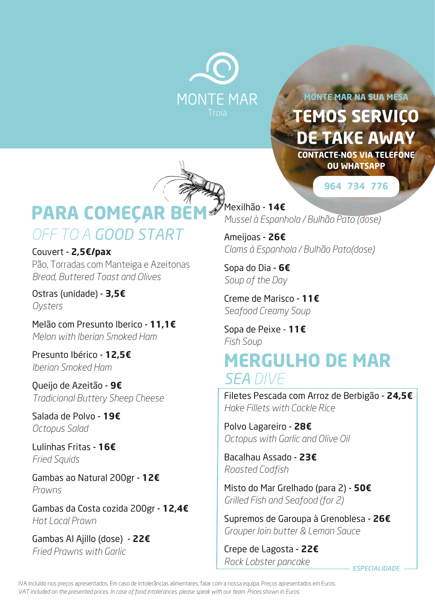

**TEMOS SERVIÇO DE TAKE AWAY MONTE MAR NA SUA MESA CONTACTE-NOS VIA TELEFONE OU WHATSAPP**

**964 734 776**



# *OFF TO A GOOD START* **PARA COMEÇAR B**

## Couvert - **2,5€/pax**

Pão, Torradas com Manteiga e Azeitonas *Bread, Buttered Toast and Olives*

Ostras (unidade) - **3,5€** *Oysters*

Melão com Presunto Iberico - **11,1€** *Melon with Iberian Smoked Ham* 

Presunto Ibérico - **12,5€** *Iberian Smoked Ham*

Queijo de Azeitão - **9€** *Tradicional Buttery Sheep Cheese*

Salada de Polvo - **19€** *Octopus Salad*

Lulinhas Fritas - **16€** *Fried Squids*

Gambas ao Natural 200gr - **12€** *Prawns*

Gambas da Costa cozida 200gr - **12,4€** *Hot Local Prawn*

Gambas Al Ajillo (dose) - **22€** *Fried Prawns with Garlic*

Mexilhão - **14€** *Mussel à Espanhola / Bulhão Pato (dose)* 

Ameijoas - **26€** *Clams à Espanhola / Bulhão Pato(dose)*

Sopa do Dia - **6€** *Soup of the Day*

Creme de Marisco - **11€** *Seafood Creamy Soup*

Sopa de Peixe - **11€** *Fish Soup*

# *SEA DIVE* **MERGULHO DE MAR**

Filetes Pescada com Arroz de Berbigão - **24,5€** *Hake Fillets with Cockle Rice*

Polvo Lagareiro - **28€** *Octopus with Garlic and Olive Oil*

Bacalhau Assado - **23€** *Roasted Codfish*

Misto do Mar Grelhado (para 2) - **50€** *Grilled Fish and Seafood (for 2)*

Supremos de Garoupa à Grenoblesa - **26€** *Grouper loin butter & Lemon Sauce*

Crepe de Lagosta - **22€** *Rock Lobster pancake*

*ESPECIALIDADE*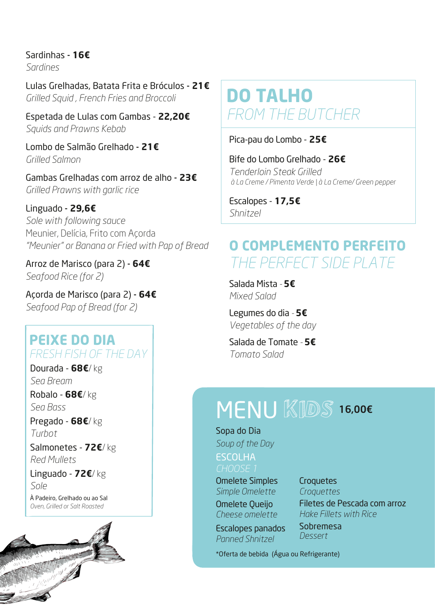Sardinhas - **16€**

*Sardines*

Lulas Grelhadas, Batata Frita e Bróculos - **21€** *Grilled Squid , French Fries and Broccoli*

Espetada de Lulas com Gambas - **22,20€**  *Squids and Prawns Kebab*

Lombo de Salmão Grelhado - **21€** *Grilled Salmon*

Gambas Grelhadas com arroz de alho - **23€** *Grilled Prawns with garlic rice*

Linguado - **29,6€** *Sole with following sauce* Meunier, Delícia, Frito com Acorda *"Meunier" or Banana or Fried with Pap of Bread*

Arroz de Marisco (para 2) - **64€** *Seafood Rice (for 2)*

Açorda de Marisco (para 2) - **64€** *Seafood Pap of Bread (for 2)*

### **PEIXE DO DIA** *FRESH FISH OF THE DAY*

Dourada - **68€**/ kg *Sea Bream* Robalo - **68€**/ kg *Sea Bass* Pregado - **68€**/ kg *Turbot*

Salmonetes - **72€**/ kg *Red Mullets*

Linguado - **72€**/ kg *Sole*

À Padeiro, Grelhado ou ao Sal *Oven, Grilled or Salt Roasted*



# **DO TALHO** *FROM THE BUTCHER*

Pica-pau do Lombo - **25€**

Bife do Lombo Grelhado - **26€** *Tenderloin Steak Grilled à La Creme / Pimenta Verde | à La Creme/ Green pepper*

Escalopes - **17,5€** *Shnitzel*

## **O COMPLEMENTO PERFEITO** *THE PERFECT SIDE PLATE*

Salada Mista *-* **5€** *Mixed Salad*

Legumes do dia *-* **5€** *Vegetables of the day*

Salada de Tomate *-* **5€** *Tomato Salad*

# MENU KIDS 16,00€

#### Sopa do Dia

*Soup of the Day* ESCOLHA *CHOOSE 1* 

Omelete Simples *Simple Omelette* Omelete Queijo

*Cheese omelette* Escalopes panados *Panned Shnitzel*

#### **Croquetes**

*Croquettes* Filetes de Pescada com arroz *Hake Fillets with Rice*

Sobremesa *Dessert*

\*Oferta de bebida (Água ou Refrigerante)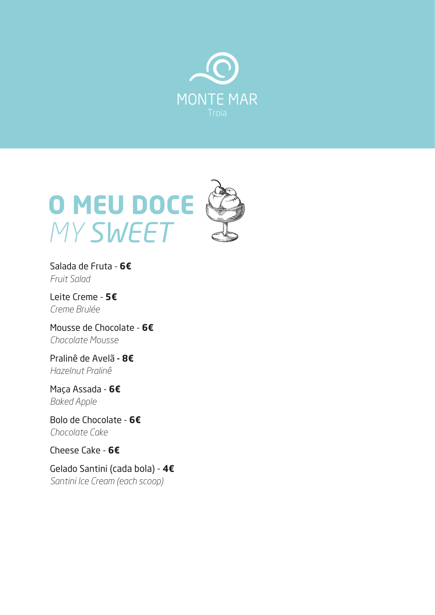



Salada de Fruta - **6€** *Fruit Salad*

Leite Creme - **5€** *Creme Brulée*

Mousse de Chocolate - **6€** *Chocolate Mousse*

Pralinê de Avelã **- 8€** *Hazelnut Pralinê*

Maça Assada - **6€** *Baked Apple*

Bolo de Chocolate - **6€** *Chocolate Cake*

Cheese Cake - **6€**

Gelado Santini (cada bola) - **4€** *Santini Ice Cream (each scoop)*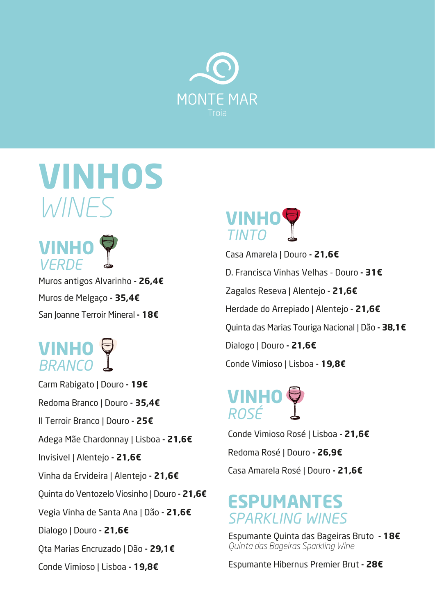

# **VINHOS** *WINES*



Muros antigos Alvarinho **- 26,4€** Muros de Melgaço **- 35,4€** San Joanne Terroir Mineral **- 18€**

# **VINHO** *BRANCO*

Carm Rabigato | Douro **- 19€** Redoma Branco | Douro **- 35,4€** II Terroir Branco | Douro **- 25€** Adega Mãe Chardonnay | Lisboa **- 21,6€** Invisivel | Alentejo **- 21,6€** Vinha da Ervideira | Alentejo **- 21,6€** Quinta do Ventozelo Viosinho | Douro **- 21,6€** Vegia Vinha de Santa Ana | Dão **- 21,6€** Dialogo | Douro **- 21,6€** Qta Marias Encruzado | Dão **- 29,1€** Conde Vimioso | Lisboa **- 19,8€**



Casa Amarela | Douro **- 21,6€** D. Francisca Vinhas Velhas - Douro **- 31€** Zagalos Reseva | Alentejo **- 21,6€** Herdade do Arrepiado | Alentejo **- 21,6€** Quinta das Marias Touriga Nacional | Dão **- 38,1€** Dialogo | Douro **- 21,6€** Conde Vimioso | Lisboa **- 19,8€**

# **VINHO** *ROSÉ*

Conde Vimioso Rosé | Lisboa **- 21,6€** Redoma Rosé | Douro **- 26,9€** Casa Amarela Rosé | Douro **- 21,6€**

## **ESPUMANTES** *SPARKLING WINES*

Espumante Quinta das Bageiras Bruto **- 18€** *Quinta das Bageiras Sparkling Wine*

Espumante Hibernus Premier Brut **- 28€**